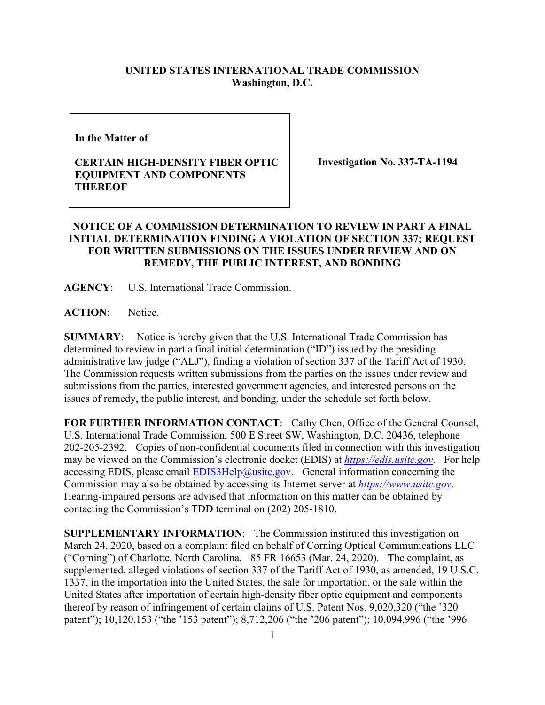## **UNITED STATES INTERNATIONAL TRADE COMMISSION Washington, D.C.**

**In the Matter of** 

## **CERTAIN HIGH-DENSITY FIBER OPTIC EQUIPMENT AND COMPONENTS THEREOF**

**Investigation No. 337-TA-1194**

## **NOTICE OF A COMMISSION DETERMINATION TO REVIEW IN PART A FINAL INITIAL DETERMINATION FINDING A VIOLATION OF SECTION 337; REQUEST FOR WRITTEN SUBMISSIONS ON THE ISSUES UNDER REVIEW AND ON REMEDY, THE PUBLIC INTEREST, AND BONDING**

**AGENCY**: U.S. International Trade Commission.

**ACTION**: Notice.

**SUMMARY**: Notice is hereby given that the U.S. International Trade Commission has determined to review in part a final initial determination ("ID") issued by the presiding administrative law judge ("ALJ"), finding a violation of section 337 of the Tariff Act of 1930. The Commission requests written submissions from the parties on the issues under review and submissions from the parties, interested government agencies, and interested persons on the issues of remedy, the public interest, and bonding, under the schedule set forth below.

**FOR FURTHER INFORMATION CONTACT**: Cathy Chen, Office of the General Counsel, U.S. International Trade Commission, 500 E Street SW, Washington, D.C. 20436, telephone 202-205-2392. Copies of non-confidential documents filed in connection with this investigation may be viewed on the Commission's electronic docket (EDIS) at *[https://edis.usitc.gov](https://edis.usitc.gov/)*. For help accessing EDIS, please email  $EDIS3Help@ustc.gov$ . General information concerning the Commission may also be obtained by accessing its Internet server at *[https://www.usitc.gov](https://www.usitc.gov/)*. Hearing-impaired persons are advised that information on this matter can be obtained by contacting the Commission's TDD terminal on (202) 205-1810.

**SUPPLEMENTARY INFORMATION**: The Commission instituted this investigation on March 24, 2020, based on a complaint filed on behalf of Corning Optical Communications LLC ("Corning") of Charlotte, North Carolina. 85 FR 16653 (Mar. 24, 2020). The complaint, as supplemented, alleged violations of section 337 of the Tariff Act of 1930, as amended, 19 U.S.C. 1337, in the importation into the United States, the sale for importation, or the sale within the United States after importation of certain high-density fiber optic equipment and components thereof by reason of infringement of certain claims of U.S. Patent Nos. 9,020,320 ("the '320 patent"); 10,120,153 ("the '153 patent"); 8,712,206 ("the '206 patent"); 10,094,996 ("the '996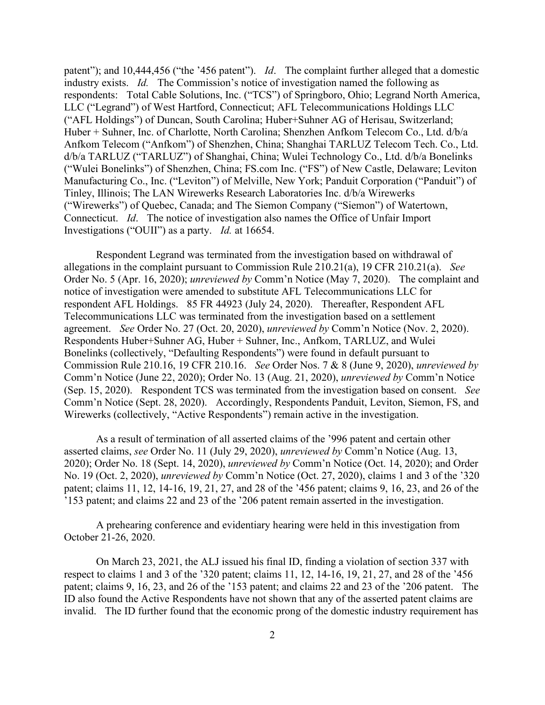patent"); and 10,444,456 ("the '456 patent"). *Id*. The complaint further alleged that a domestic industry exists. *Id.* The Commission's notice of investigation named the following as respondents: Total Cable Solutions, Inc. ("TCS") of Springboro, Ohio; Legrand North America, LLC ("Legrand") of West Hartford, Connecticut; AFL Telecommunications Holdings LLC ("AFL Holdings") of Duncan, South Carolina; Huber+Suhner AG of Herisau, Switzerland; Huber + Suhner, Inc. of Charlotte, North Carolina; Shenzhen Anfkom Telecom Co., Ltd. d/b/a Anfkom Telecom ("Anfkom") of Shenzhen, China; Shanghai TARLUZ Telecom Tech. Co., Ltd. d/b/a TARLUZ ("TARLUZ") of Shanghai, China; Wulei Technology Co., Ltd. d/b/a Bonelinks ("Wulei Bonelinks") of Shenzhen, China; FS.com Inc. ("FS") of New Castle, Delaware; Leviton Manufacturing Co., Inc. ("Leviton") of Melville, New York; Panduit Corporation ("Panduit") of Tinley, Illinois; The LAN Wirewerks Research Laboratories Inc. d/b/a Wirewerks ("Wirewerks") of Quebec, Canada; and The Siemon Company ("Siemon") of Watertown, Connecticut. *Id*. The notice of investigation also names the Office of Unfair Import Investigations ("OUII") as a party. *Id.* at 16654.

Respondent Legrand was terminated from the investigation based on withdrawal of allegations in the complaint pursuant to Commission Rule 210.21(a), 19 CFR 210.21(a). *See*  Order No. 5 (Apr. 16, 2020); *unreviewed by* Comm'n Notice (May 7, 2020). The complaint and notice of investigation were amended to substitute AFL Telecommunications LLC for respondent AFL Holdings. 85 FR 44923 (July 24, 2020). Thereafter, Respondent AFL Telecommunications LLC was terminated from the investigation based on a settlement agreement. *See* Order No. 27 (Oct. 20, 2020), *unreviewed by* Comm'n Notice (Nov. 2, 2020). Respondents Huber+Suhner AG, Huber + Suhner, Inc., Anfkom, TARLUZ, and Wulei Bonelinks (collectively, "Defaulting Respondents") were found in default pursuant to Commission Rule 210.16, 19 CFR 210.16. *See* Order Nos. 7 & 8 (June 9, 2020), *unreviewed by*  Comm'n Notice (June 22, 2020); Order No. 13 (Aug. 21, 2020), *unreviewed by* Comm'n Notice (Sep. 15, 2020). Respondent TCS was terminated from the investigation based on consent. *See*  Comm'n Notice (Sept. 28, 2020). Accordingly, Respondents Panduit, Leviton, Siemon, FS, and Wirewerks (collectively, "Active Respondents") remain active in the investigation.

As a result of termination of all asserted claims of the '996 patent and certain other asserted claims, *see* Order No. 11 (July 29, 2020), *unreviewed by* Comm'n Notice (Aug. 13, 2020); Order No. 18 (Sept. 14, 2020), *unreviewed by* Comm'n Notice (Oct. 14, 2020); and Order No. 19 (Oct. 2, 2020), *unreviewed by* Comm'n Notice (Oct. 27, 2020), claims 1 and 3 of the '320 patent; claims 11, 12, 14-16, 19, 21, 27, and 28 of the '456 patent; claims 9, 16, 23, and 26 of the '153 patent; and claims 22 and 23 of the '206 patent remain asserted in the investigation.

A prehearing conference and evidentiary hearing were held in this investigation from October 21-26, 2020.

On March 23, 2021, the ALJ issued his final ID, finding a violation of section 337 with respect to claims 1 and 3 of the '320 patent; claims 11, 12, 14-16, 19, 21, 27, and 28 of the '456 patent; claims 9, 16, 23, and 26 of the '153 patent; and claims 22 and 23 of the '206 patent. The ID also found the Active Respondents have not shown that any of the asserted patent claims are invalid. The ID further found that the economic prong of the domestic industry requirement has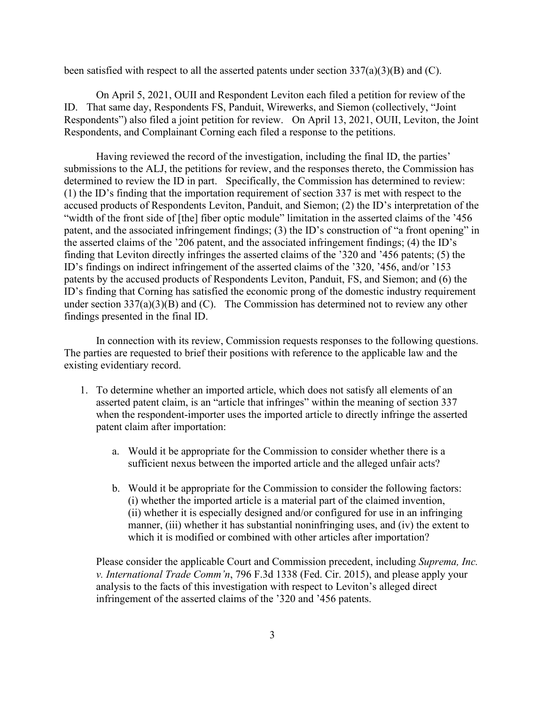been satisfied with respect to all the asserted patents under section  $337(a)(3)(B)$  and (C).

On April 5, 2021, OUII and Respondent Leviton each filed a petition for review of the ID. That same day, Respondents FS, Panduit, Wirewerks, and Siemon (collectively, "Joint Respondents") also filed a joint petition for review. On April 13, 2021, OUII, Leviton, the Joint Respondents, and Complainant Corning each filed a response to the petitions.

Having reviewed the record of the investigation, including the final ID, the parties' submissions to the ALJ, the petitions for review, and the responses thereto, the Commission has determined to review the ID in part. Specifically, the Commission has determined to review: (1) the ID's finding that the importation requirement of section 337 is met with respect to the accused products of Respondents Leviton, Panduit, and Siemon; (2) the ID's interpretation of the "width of the front side of [the] fiber optic module" limitation in the asserted claims of the '456 patent, and the associated infringement findings; (3) the ID's construction of "a front opening" in the asserted claims of the '206 patent, and the associated infringement findings; (4) the ID's finding that Leviton directly infringes the asserted claims of the '320 and '456 patents; (5) the ID's findings on indirect infringement of the asserted claims of the '320, '456, and/or '153 patents by the accused products of Respondents Leviton, Panduit, FS, and Siemon; and (6) the ID's finding that Corning has satisfied the economic prong of the domestic industry requirement under section  $337(a)(3)(B)$  and (C). The Commission has determined not to review any other findings presented in the final ID.

In connection with its review, Commission requests responses to the following questions. The parties are requested to brief their positions with reference to the applicable law and the existing evidentiary record.

- 1. To determine whether an imported article, which does not satisfy all elements of an asserted patent claim, is an "article that infringes" within the meaning of section 337 when the respondent-importer uses the imported article to directly infringe the asserted patent claim after importation:
	- a. Would it be appropriate for the Commission to consider whether there is a sufficient nexus between the imported article and the alleged unfair acts?
	- b. Would it be appropriate for the Commission to consider the following factors: (i) whether the imported article is a material part of the claimed invention, (ii) whether it is especially designed and/or configured for use in an infringing manner, (iii) whether it has substantial noninfringing uses, and (iv) the extent to which it is modified or combined with other articles after importation?

Please consider the applicable Court and Commission precedent, including *Suprema, Inc. v. International Trade Comm'n*, 796 F.3d 1338 (Fed. Cir. 2015), and please apply your analysis to the facts of this investigation with respect to Leviton's alleged direct infringement of the asserted claims of the '320 and '456 patents.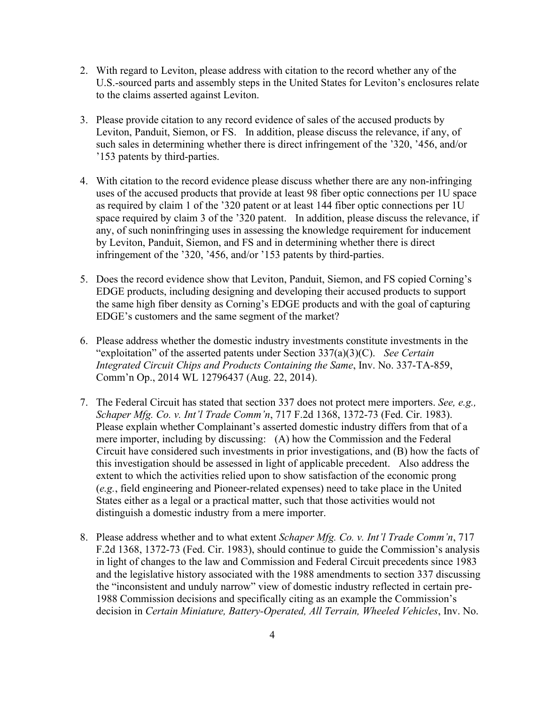- 2. With regard to Leviton, please address with citation to the record whether any of the U.S.-sourced parts and assembly steps in the United States for Leviton's enclosures relate to the claims asserted against Leviton.
- 3. Please provide citation to any record evidence of sales of the accused products by Leviton, Panduit, Siemon, or FS. In addition, please discuss the relevance, if any, of such sales in determining whether there is direct infringement of the '320, '456, and/or '153 patents by third-parties.
- 4. With citation to the record evidence please discuss whether there are any non-infringing uses of the accused products that provide at least 98 fiber optic connections per 1U space as required by claim 1 of the '320 patent or at least 144 fiber optic connections per 1U space required by claim 3 of the '320 patent. In addition, please discuss the relevance, if any, of such noninfringing uses in assessing the knowledge requirement for inducement by Leviton, Panduit, Siemon, and FS and in determining whether there is direct infringement of the '320, '456, and/or '153 patents by third-parties.
- 5. Does the record evidence show that Leviton, Panduit, Siemon, and FS copied Corning's EDGE products, including designing and developing their accused products to support the same high fiber density as Corning's EDGE products and with the goal of capturing EDGE's customers and the same segment of the market?
- 6. Please address whether the domestic industry investments constitute investments in the "exploitation" of the asserted patents under Section 337(a)(3)(C). *See Certain Integrated Circuit Chips and Products Containing the Same*, Inv. No. 337-TA-859, Comm'n Op., 2014 WL 12796437 (Aug. 22, 2014).
- 7. The Federal Circuit has stated that section 337 does not protect mere importers. *See, e.g., Schaper Mfg. Co. v. Int'l Trade Comm'n*, 717 F.2d 1368, 1372-73 (Fed. Cir. 1983). Please explain whether Complainant's asserted domestic industry differs from that of a mere importer, including by discussing: (A) how the Commission and the Federal Circuit have considered such investments in prior investigations, and (B) how the facts of this investigation should be assessed in light of applicable precedent. Also address the extent to which the activities relied upon to show satisfaction of the economic prong (*e.g.*, field engineering and Pioneer-related expenses) need to take place in the United States either as a legal or a practical matter, such that those activities would not distinguish a domestic industry from a mere importer.
- 8. Please address whether and to what extent *Schaper Mfg. Co. v. Int'l Trade Comm'n*, 717 F.2d 1368, 1372-73 (Fed. Cir. 1983), should continue to guide the Commission's analysis in light of changes to the law and Commission and Federal Circuit precedents since 1983 and the legislative history associated with the 1988 amendments to section 337 discussing the "inconsistent and unduly narrow" view of domestic industry reflected in certain pre-1988 Commission decisions and specifically citing as an example the Commission's decision in *Certain Miniature, Battery-Operated, All Terrain, Wheeled Vehicles*, Inv. No.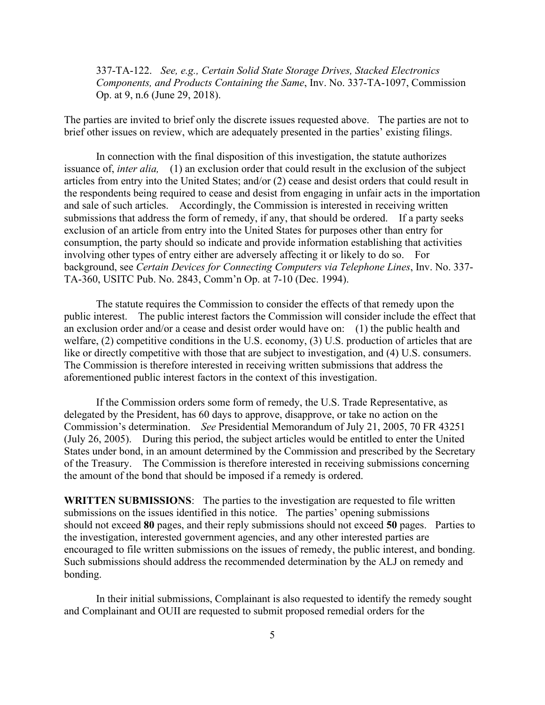337-TA-122. *See, e.g., Certain Solid State Storage Drives, Stacked Electronics Components, and Products Containing the Same*, Inv. No. 337-TA-1097, Commission Op. at 9, n.6 (June 29, 2018).

The parties are invited to brief only the discrete issues requested above. The parties are not to brief other issues on review, which are adequately presented in the parties' existing filings.

In connection with the final disposition of this investigation, the statute authorizes issuance of, *inter alia,* (1) an exclusion order that could result in the exclusion of the subject articles from entry into the United States; and/or (2) cease and desist orders that could result in the respondents being required to cease and desist from engaging in unfair acts in the importation and sale of such articles. Accordingly, the Commission is interested in receiving written submissions that address the form of remedy, if any, that should be ordered. If a party seeks exclusion of an article from entry into the United States for purposes other than entry for consumption, the party should so indicate and provide information establishing that activities involving other types of entry either are adversely affecting it or likely to do so. For background, see *Certain Devices for Connecting Computers via Telephone Lines*, Inv. No. 337- TA-360, USITC Pub. No. 2843, Comm'n Op. at 7-10 (Dec. 1994).

The statute requires the Commission to consider the effects of that remedy upon the public interest. The public interest factors the Commission will consider include the effect that an exclusion order and/or a cease and desist order would have on: (1) the public health and welfare, (2) competitive conditions in the U.S. economy, (3) U.S. production of articles that are like or directly competitive with those that are subject to investigation, and (4) U.S. consumers. The Commission is therefore interested in receiving written submissions that address the aforementioned public interest factors in the context of this investigation.

If the Commission orders some form of remedy, the U.S. Trade Representative, as delegated by the President, has 60 days to approve, disapprove, or take no action on the Commission's determination. *See* Presidential Memorandum of July 21, 2005, 70 FR 43251 (July 26, 2005). During this period, the subject articles would be entitled to enter the United States under bond, in an amount determined by the Commission and prescribed by the Secretary of the Treasury. The Commission is therefore interested in receiving submissions concerning the amount of the bond that should be imposed if a remedy is ordered.

**WRITTEN SUBMISSIONS**: The parties to the investigation are requested to file written submissions on the issues identified in this notice. The parties' opening submissions should not exceed **80** pages, and their reply submissions should not exceed **50** pages. Parties to the investigation, interested government agencies, and any other interested parties are encouraged to file written submissions on the issues of remedy, the public interest, and bonding. Such submissions should address the recommended determination by the ALJ on remedy and bonding.

In their initial submissions, Complainant is also requested to identify the remedy sought and Complainant and OUII are requested to submit proposed remedial orders for the